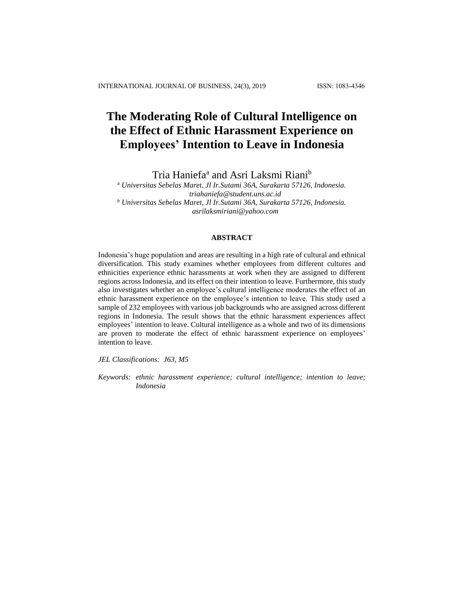# **The Moderating Role of Cultural Intelligence on the Effect of Ethnic Harassment Experience on Employees' Intention to Leave in Indonesia**

Tria Haniefa<sup>a</sup> and Asri Laksmi Riani<sup>b</sup>

<sup>a</sup> *Universitas Sebelas Maret, Jl Ir.Sutami 36A, Surakarta 57126, Indonesia. triahaniefa@student.uns.ac.id <sup>b</sup> Universitas Sebelas Maret, Jl Ir.Sutami 36A, Surakarta 57126, Indonesia. asrilaksmiriani@yahoo.com*

# **ABSTRACT**

Indonesia's huge population and areas are resulting in a high rate of cultural and ethnical diversification. This study examines whether employees from different cultures and ethnicities experience ethnic harassments at work when they are assigned to different regions across Indonesia, and its effect on their intention to leave. Furthermore, this study also investigates whether an employee's cultural intelligence moderates the effect of an ethnic harassment experience on the employee's intention to leave. This study used a sample of 232 employees with various job backgrounds who are assigned across different regions in Indonesia. The result shows that the ethnic harassment experiences affect employees' intention to leave. Cultural intelligence as a whole and two of its dimensions are proven to moderate the effect of ethnic harassment experience on employees' intention to leave.

*JEL Classifications: J63, M5*

*Keywords: ethnic harassment experience; cultural intelligence; intention to leave; Indonesia*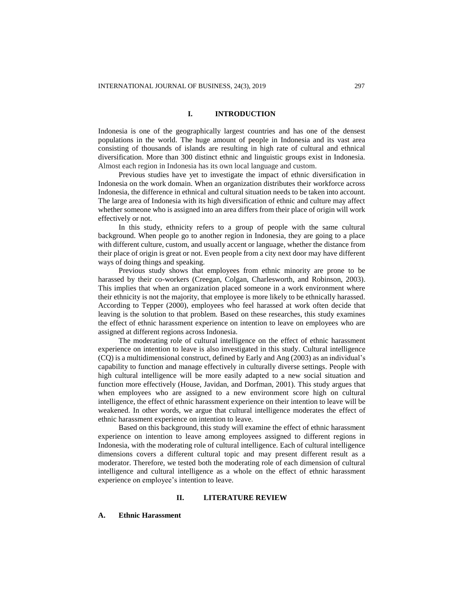# **I. INTRODUCTION**

Indonesia is one of the geographically largest countries and has one of the densest populations in the world. The huge amount of people in Indonesia and its vast area consisting of thousands of islands are resulting in high rate of cultural and ethnical diversification. More than 300 distinct ethnic and linguistic groups exist in Indonesia. Almost each region in Indonesia has its own local language and custom.

Previous studies have yet to investigate the impact of ethnic diversification in Indonesia on the work domain. When an organization distributes their workforce across Indonesia, the difference in ethnical and cultural situation needs to be taken into account. The large area of Indonesia with its high diversification of ethnic and culture may affect whether someone who is assigned into an area differs from their place of origin will work effectively or not.

In this study, ethnicity refers to a group of people with the same cultural background. When people go to another region in Indonesia, they are going to a place with different culture, custom, and usually accent or language, whether the distance from their place of origin is great or not. Even people from a city next door may have different ways of doing things and speaking.

Previous study shows that employees from ethnic minority are prone to be harassed by their co-workers (Creegan, Colgan, Charlesworth, and Robinson, 2003). This implies that when an organization placed someone in a work environment where their ethnicity is not the majority, that employee is more likely to be ethnically harassed. According to Tepper (2000), employees who feel harassed at work often decide that leaving is the solution to that problem. Based on these researches, this study examines the effect of ethnic harassment experience on intention to leave on employees who are assigned at different regions across Indonesia.

The moderating role of cultural intelligence on the effect of ethnic harassment experience on intention to leave is also investigated in this study. Cultural intelligence (CQ) is a multidimensional construct, defined by Early and Ang (2003) as an individual's capability to function and manage effectively in culturally diverse settings. People with high cultural intelligence will be more easily adapted to a new social situation and function more effectively (House, Javidan, and Dorfman, 2001). This study argues that when employees who are assigned to a new environment score high on cultural intelligence, the effect of ethnic harassment experience on their intention to leave will be weakened. In other words, we argue that cultural intelligence moderates the effect of ethnic harassment experience on intention to leave.

Based on this background, this study will examine the effect of ethnic harassment experience on intention to leave among employees assigned to different regions in Indonesia, with the moderating role of cultural intelligence. Each of cultural intelligence dimensions covers a different cultural topic and may present different result as a moderator. Therefore, we tested both the moderating role of each dimension of cultural intelligence and cultural intelligence as a whole on the effect of ethnic harassment experience on employee's intention to leave.

#### **II. LITERATURE REVIEW**

#### **A. Ethnic Harassment**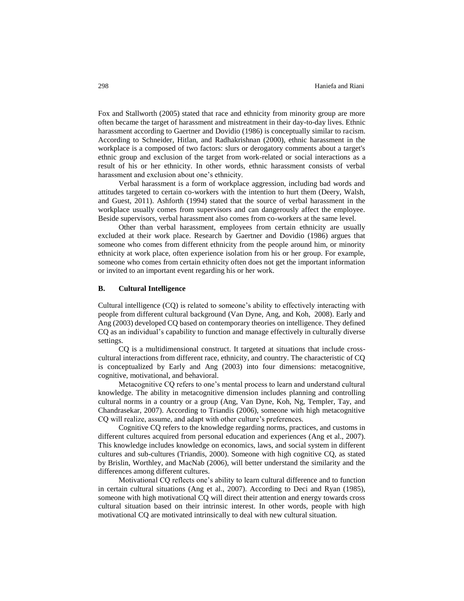Fox and Stallworth (2005) stated that race and ethnicity from minority group are more often became the target of harassment and mistreatment in their day-to-day lives. Ethnic harassment according to Gaertner and Dovidio (1986) is conceptually similar to racism. According to Schneider, Hitlan, and Radhakrishnan (2000), ethnic harassment in the workplace is a composed of two factors: slurs or derogatory comments about a target's ethnic group and exclusion of the target from work-related or social interactions as a result of his or her ethnicity. In other words, ethnic harassment consists of verbal harassment and exclusion about one's ethnicity.

Verbal harassment is a form of workplace aggression, including bad words and attitudes targeted to certain co-workers with the intention to hurt them (Deery, Walsh, and Guest, 2011). Ashforth (1994) stated that the source of verbal harassment in the workplace usually comes from supervisors and can dangerously affect the employee. Beside supervisors, verbal harassment also comes from co-workers at the same level.

Other than verbal harassment, employees from certain ethnicity are usually excluded at their work place. Research by Gaertner and Dovidio (1986) argues that someone who comes from different ethnicity from the people around him, or minority ethnicity at work place, often experience isolation from his or her group. For example, someone who comes from certain ethnicity often does not get the important information or invited to an important event regarding his or her work.

#### **B. Cultural Intelligence**

Cultural intelligence (CQ) is related to someone's ability to effectively interacting with people from different cultural background (Van Dyne, Ang, and Koh, 2008). Early and Ang (2003) developed CQ based on contemporary theories on intelligence. They defined CQ as an individual's capability to function and manage effectively in culturally diverse settings.

CQ is a multidimensional construct. It targeted at situations that include crosscultural interactions from different race, ethnicity, and country. The characteristic of CQ is conceptualized by Early and Ang (2003) into four dimensions: metacognitive, cognitive, motivational, and behavioral.

Metacognitive CQ refers to one's mental process to learn and understand cultural knowledge. The ability in metacognitive dimension includes planning and controlling cultural norms in a country or a group (Ang, Van Dyne, Koh, Ng, Templer, Tay, and Chandrasekar, 2007). According to Triandis (2006), someone with high metacognitive CQ will realize, assume, and adapt with other culture's preferences.

Cognitive CQ refers to the knowledge regarding norms, practices, and customs in different cultures acquired from personal education and experiences (Ang et al., 2007). This knowledge includes knowledge on economics, laws, and social system in different cultures and sub-cultures (Triandis, 2000). Someone with high cognitive CQ, as stated by Brislin, Worthley, and MacNab (2006), will better understand the similarity and the differences among different cultures.

Motivational CQ reflects one's ability to learn cultural difference and to function in certain cultural situations (Ang et al., 2007). According to Deci and Ryan (1985), someone with high motivational CQ will direct their attention and energy towards cross cultural situation based on their intrinsic interest. In other words, people with high motivational CQ are motivated intrinsically to deal with new cultural situation.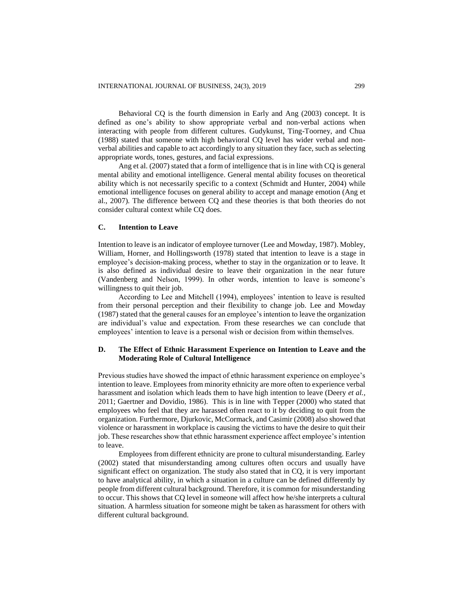Behavioral CQ is the fourth dimension in Early and Ang (2003) concept. It is defined as one's ability to show appropriate verbal and non-verbal actions when interacting with people from different cultures. Gudykunst, Ting-Toorney, and Chua (1988) stated that someone with high behavioral CQ level has wider verbal and nonverbal abilities and capable to act accordingly to any situation they face, such as selecting appropriate words, tones, gestures, and facial expressions.

Ang et al. (2007) stated that a form of intelligence that is in line with CQ is general mental ability and emotional intelligence. General mental ability focuses on theoretical ability which is not necessarily specific to a context (Schmidt and Hunter, 2004) while emotional intelligence focuses on general ability to accept and manage emotion (Ang et al., 2007). The difference between CQ and these theories is that both theories do not consider cultural context while CQ does.

## **C. Intention to Leave**

Intention to leave is an indicator of employee turnover (Lee and Mowday, 1987). Mobley, William, Horner, and Hollingsworth (1978) stated that intention to leave is a stage in employee's decision-making process, whether to stay in the organization or to leave. It is also defined as individual desire to leave their organization in the near future (Vandenberg and Nelson, 1999). In other words, intention to leave is someone's willingness to quit their job.

According to Lee and Mitchell (1994), employees' intention to leave is resulted from their personal perception and their flexibility to change job. Lee and Mowday (1987) stated that the general causes for an employee's intention to leave the organization are individual's value and expectation. From these researches we can conclude that employees' intention to leave is a personal wish or decision from within themselves.

# **D. The Effect of Ethnic Harassment Experience on Intention to Leave and the Moderating Role of Cultural Intelligence**

Previous studies have showed the impact of ethnic harassment experience on employee's intention to leave. Employees from minority ethnicity are more often to experience verbal harassment and isolation which leads them to have high intention to leave (Deery *et al.,*  2011; Gaertner and Dovidio, 1986). This is in line with Tepper (2000) who stated that employees who feel that they are harassed often react to it by deciding to quit from the organization. Furthermore, Djurkovic, McCormack, and Casimir (2008) also showed that violence or harassment in workplace is causing the victims to have the desire to quit their job. These researches show that ethnic harassment experience affect employee's intention to leave.

Employees from different ethnicity are prone to cultural misunderstanding. Earley (2002) stated that misunderstanding among cultures often occurs and usually have significant effect on organization. The study also stated that in CQ, it is very important to have analytical ability, in which a situation in a culture can be defined differently by people from different cultural background. Therefore, it is common for misunderstanding to occur. This shows that CQ level in someone will affect how he/she interprets a cultural situation. A harmless situation for someone might be taken as harassment for others with different cultural background.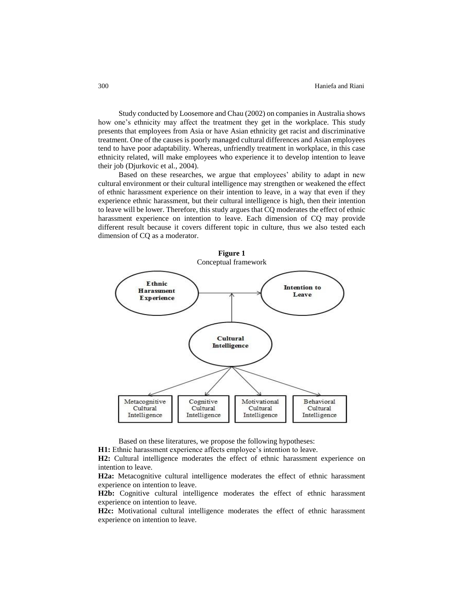Study conducted by Loosemore and Chau (2002) on companies in Australia shows how one's ethnicity may affect the treatment they get in the workplace. This study presents that employees from Asia or have Asian ethnicity get racist and discriminative treatment. One of the causes is poorly managed cultural differences and Asian employees tend to have poor adaptability. Whereas, unfriendly treatment in workplace, in this case ethnicity related, will make employees who experience it to develop intention to leave their job (Djurkovic et al., 2004).

Based on these researches, we argue that employees' ability to adapt in new cultural environment or their cultural intelligence may strengthen or weakened the effect of ethnic harassment experience on their intention to leave, in a way that even if they experience ethnic harassment, but their cultural intelligence is high, then their intention to leave will be lower. Therefore, this study argues that CQ moderates the effect of ethnic harassment experience on intention to leave. Each dimension of CQ may provide different result because it covers different topic in culture, thus we also tested each dimension of CQ as a moderator.



Based on these literatures, we propose the following hypotheses:

**H1:** Ethnic harassment experience affects employee's intention to leave.

**H2:** Cultural intelligence moderates the effect of ethnic harassment experience on intention to leave.

**H2a:** Metacognitive cultural intelligence moderates the effect of ethnic harassment experience on intention to leave.

**H2b:** Cognitive cultural intelligence moderates the effect of ethnic harassment experience on intention to leave.

**H2c:** Motivational cultural intelligence moderates the effect of ethnic harassment experience on intention to leave.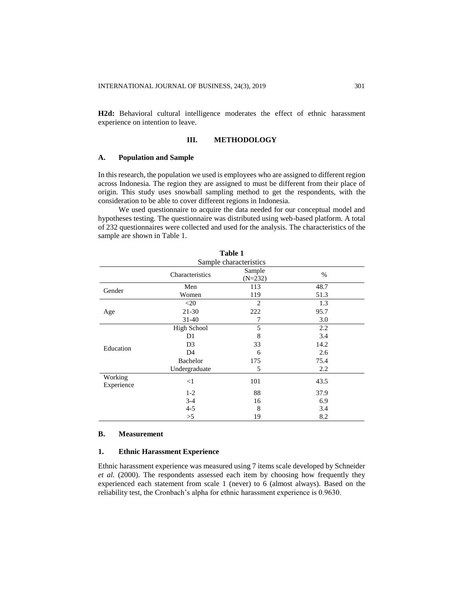**H2d:** Behavioral cultural intelligence moderates the effect of ethnic harassment experience on intention to leave.

#### **III. METHODOLOGY**

## **A. Population and Sample**

In this research, the population we used is employees who are assigned to different region across Indonesia. The region they are assigned to must be different from their place of origin. This study uses snowball sampling method to get the respondents, with the consideration to be able to cover different regions in Indonesia.

We used questionnaire to acquire the data needed for our conceptual model and hypotheses testing. The questionnaire was distributed using web-based platform. A total of 232 questionnaires were collected and used for the analysis. The characteristics of the sample are shown in Table 1.

|                       |                 | Tanic T                |      |  |
|-----------------------|-----------------|------------------------|------|--|
|                       |                 | Sample characteristics |      |  |
|                       | Characteristics | Sample<br>$(N=232)$    | $\%$ |  |
| Gender                | Men             | 113                    | 48.7 |  |
|                       | Women           | 119                    | 51.3 |  |
|                       | $<$ 20          | $\overline{c}$         | 1.3  |  |
| Age                   | $21 - 30$       | 222                    | 95.7 |  |
|                       | $31-40$         | 7                      | 3.0  |  |
|                       | High School     | 5                      | 2.2  |  |
|                       | D <sub>1</sub>  | 8                      | 3.4  |  |
|                       | D <sub>3</sub>  | 33                     | 14.2 |  |
| Education             | D <sub>4</sub>  | 6                      | 2.6  |  |
|                       | Bachelor        | 175                    | 75.4 |  |
|                       | Undergraduate   | 5                      | 2.2  |  |
| Working<br>Experience | <1              | 101                    | 43.5 |  |
|                       | $1-2$           | 88                     | 37.9 |  |
|                       | $3-4$           | 16                     | 6.9  |  |
|                       | $4 - 5$         | 8                      | 3.4  |  |
|                       | >5              | 19                     | 8.2  |  |

# **Table 1**

## **B. Measurement**

### **1. Ethnic Harassment Experience**

Ethnic harassment experience was measured using 7 items scale developed by Schneider *et al.* (2000). The respondents assessed each item by choosing how frequently they experienced each statement from scale 1 (never) to 6 (almost always). Based on the reliability test, the Cronbach's alpha for ethnic harassment experience is 0.9630.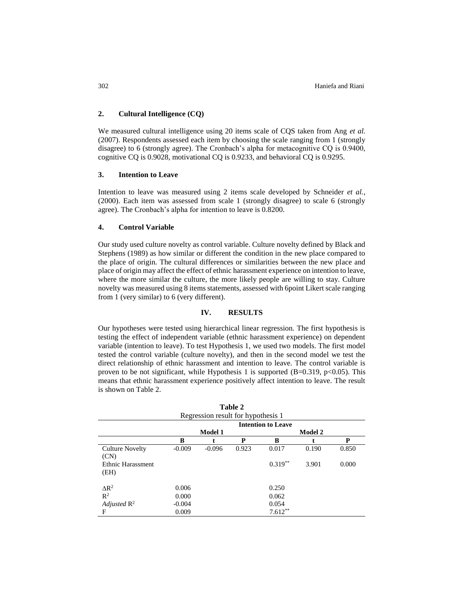# **2. Cultural Intelligence (CQ)**

We measured cultural intelligence using 20 items scale of CQS taken from Ang *et al.* (2007). Respondents assessed each item by choosing the scale ranging from 1 (strongly disagree) to 6 (strongly agree). The Cronbach's alpha for metacognitive CQ is 0.9400, cognitive CQ is 0.9028, motivational CQ is 0.9233, and behavioral CQ is 0.9295.

## **3. Intention to Leave**

Intention to leave was measured using 2 items scale developed by Schneider *et al.,*  (2000). Each item was assessed from scale 1 (strongly disagree) to scale 6 (strongly agree). The Cronbach's alpha for intention to leave is 0.8200.

# **4. Control Variable**

Our study used culture novelty as control variable. Culture novelty defined by Black and Stephens (1989) as how similar or different the condition in the new place compared to the place of origin. The cultural differences or similarities between the new place and place of origin may affect the effect of ethnic harassment experience on intention to leave, where the more similar the culture, the more likely people are willing to stay. Culture novelty was measured using 8 items statements, assessed with 6point Likert scale ranging from 1 (very similar) to 6 (very different).

# **IV. RESULTS**

Our hypotheses were tested using hierarchical linear regression. The first hypothesis is testing the effect of independent variable (ethnic harassment experience) on dependent variable (intention to leave). To test Hypothesis 1, we used two models. The first model tested the control variable (culture novelty), and then in the second model we test the direct relationship of ethnic harassment and intention to leave. The control variable is proven to be not significant, while Hypothesis 1 is supported  $(B=0.319, p<0.05)$ . This means that ethnic harassment experience positively affect intention to leave. The result is shown on Table 2.

| Table 2                            |          |                |       |                           |                |       |  |  |  |
|------------------------------------|----------|----------------|-------|---------------------------|----------------|-------|--|--|--|
| Regression result for hypothesis 1 |          |                |       |                           |                |       |  |  |  |
|                                    |          |                |       | <b>Intention to Leave</b> |                |       |  |  |  |
|                                    |          | <b>Model 1</b> |       |                           | <b>Model 2</b> |       |  |  |  |
|                                    | B        |                | P     | B                         |                | P     |  |  |  |
| <b>Culture Novelty</b>             | $-0.009$ | $-0.096$       | 0.923 | 0.017                     | 0.190          | 0.850 |  |  |  |
| (CN)                               |          |                |       |                           |                |       |  |  |  |
| Ethnic Harassment                  |          |                |       | $0.319**$                 | 3.901          | 0.000 |  |  |  |
| (EH)                               |          |                |       |                           |                |       |  |  |  |
|                                    |          |                |       |                           |                |       |  |  |  |
| $\Delta R^2$                       | 0.006    |                |       | 0.250                     |                |       |  |  |  |
| $\mathbb{R}^2$                     | 0.000    |                |       | 0.062                     |                |       |  |  |  |
| Adjusted $\mathbb{R}^2$            | $-0.004$ |                |       | 0.054                     |                |       |  |  |  |
| F                                  | 0.009    |                |       | $7.612**$                 |                |       |  |  |  |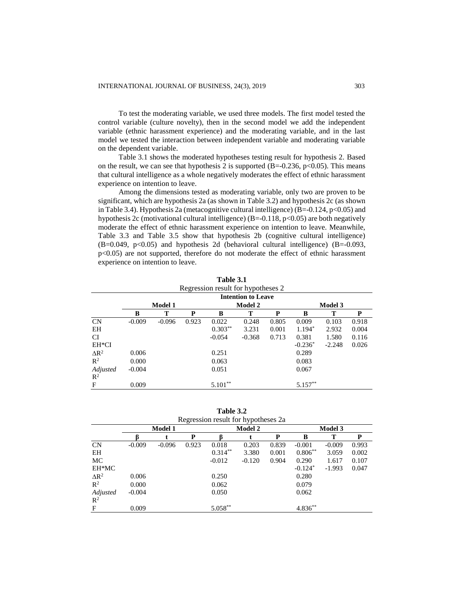To test the moderating variable, we used three models. The first model tested the control variable (culture novelty), then in the second model we add the independent variable (ethnic harassment experience) and the moderating variable, and in the last model we tested the interaction between independent variable and moderating variable on the dependent variable.

Table 3.1 shows the moderated hypotheses testing result for hypothesis 2. Based on the result, we can see that hypothesis 2 is supported (B=-0.236, p<0.05). This means that cultural intelligence as a whole negatively moderates the effect of ethnic harassment experience on intention to leave.

Among the dimensions tested as moderating variable, only two are proven to be significant, which are hypothesis 2a (as shown in Table 3.2) and hypothesis 2c (as shown in Table 3.4). Hypothesis 2a (metacognitive cultural intelligence)  $(B=-0.124, p<0.05)$  and hypothesis 2c (motivational cultural intelligence)  $(B=-0.118, p<0.05)$  are both negatively moderate the effect of ethnic harassment experience on intention to leave. Meanwhile, Table 3.3 and Table 3.5 show that hypothesis 2b (cognitive cultural intelligence)  $(B=0.049, p<0.05)$  and hypothesis 2d (behavioral cultural intelligence)  $(B=-0.093, p<0.05)$  $p$ <0.05) are not supported, therefore do not moderate the effect of ethnic harassment experience on intention to leave.

**Table 3.1**

|                         | Regression result for hypotheses 2 |                |       |           |                |       |            |                |       |  |  |
|-------------------------|------------------------------------|----------------|-------|-----------|----------------|-------|------------|----------------|-------|--|--|
|                         | <b>Intention to Leave</b>          |                |       |           |                |       |            |                |       |  |  |
|                         |                                    | <b>Model 1</b> |       |           | <b>Model 2</b> |       |            | <b>Model 3</b> |       |  |  |
|                         | B                                  | Т              | P     | B         | Т              | P     | B          | т              | P     |  |  |
| CN                      | $-0.009$                           | $-0.096$       | 0.923 | 0.022     | 0.248          | 0.805 | 0.009      | 0.103          | 0.918 |  |  |
| EH                      |                                    |                |       | $0.303**$ | 3.231          | 0.001 | $1.194*$   | 2.932          | 0.004 |  |  |
| CI                      |                                    |                |       | $-0.054$  | $-0.368$       | 0.713 | 0.381      | 1.580          | 0.116 |  |  |
| EH*CI                   |                                    |                |       |           |                |       | $-0.236*$  | $-2.248$       | 0.026 |  |  |
| $\Delta$ R <sup>2</sup> | 0.006                              |                |       | 0.251     |                |       | 0.289      |                |       |  |  |
| $\mathbb{R}^2$          | 0.000                              |                |       | 0.063     |                |       | 0.083      |                |       |  |  |
| Adjusted                | $-0.004$                           |                |       | 0.051     |                |       | 0.067      |                |       |  |  |
| $\mathbb{R}^2$          |                                    |                |       |           |                |       |            |                |       |  |  |
| F                       | 0.009                              |                |       | $5.101**$ |                |       | $5.157***$ |                |       |  |  |

**Table 3.2**

|                | Regression result for hypotheses 2a |                |       |            |                |       |                |          |       |  |  |
|----------------|-------------------------------------|----------------|-------|------------|----------------|-------|----------------|----------|-------|--|--|
|                |                                     | <b>Model 1</b> |       |            | <b>Model 2</b> |       | <b>Model 3</b> |          |       |  |  |
|                |                                     |                | P     |            |                | P     | B              | т        | P     |  |  |
| <b>CN</b>      | $-0.009$                            | $-0.096$       | 0.923 | 0.018      | 0.203          | 0.839 | $-0.001$       | $-0.009$ | 0.993 |  |  |
| EH             |                                     |                |       | $0.314***$ | 3.380          | 0.001 | $0.806**$      | 3.059    | 0.002 |  |  |
| МC             |                                     |                |       | $-0.012$   | $-0.120$       | 0.904 | 0.290          | 1.617    | 0.107 |  |  |
| EH*MC          |                                     |                |       |            |                |       | $-0.124*$      | $-1.993$ | 0.047 |  |  |
| $\Delta R^2$   | 0.006                               |                |       | 0.250      |                |       | 0.280          |          |       |  |  |
| $\mathbb{R}^2$ | 0.000                               |                |       | 0.062      |                |       | 0.079          |          |       |  |  |
| Adjusted       | $-0.004$                            |                |       | 0.050      |                |       | 0.062          |          |       |  |  |
| $\mathbb{R}^2$ |                                     |                |       |            |                |       |                |          |       |  |  |
| F              | 0.009                               |                |       | $5.058***$ |                |       | $4.836***$     |          |       |  |  |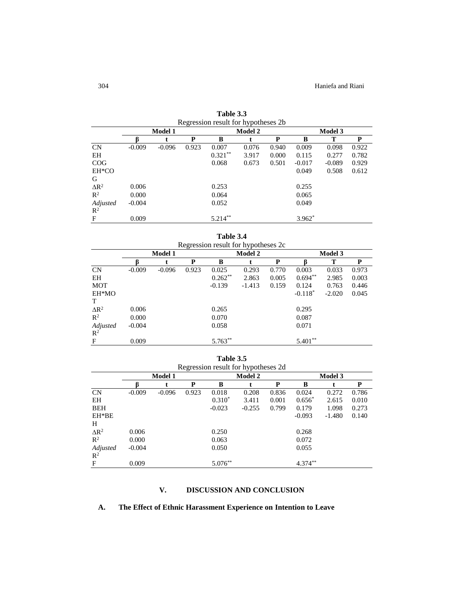|                | Regression result for hypotheses 2b. |                |       |                |       |       |                |          |       |  |
|----------------|--------------------------------------|----------------|-------|----------------|-------|-------|----------------|----------|-------|--|
|                |                                      | <b>Model 1</b> |       | <b>Model 2</b> |       |       | <b>Model 3</b> |          |       |  |
|                |                                      |                | P     | B              |       | P     | B              | т        | P     |  |
| CN             | $-0.009$                             | $-0.096$       | 0.923 | 0.007          | 0.076 | 0.940 | 0.009          | 0.098    | 0.922 |  |
| EH             |                                      |                |       | $0.321***$     | 3.917 | 0.000 | 0.115          | 0.277    | 0.782 |  |
| COG            |                                      |                |       | 0.068          | 0.673 | 0.501 | $-0.017$       | $-0.089$ | 0.929 |  |
| EH*CO          |                                      |                |       |                |       |       | 0.049          | 0.508    | 0.612 |  |
| G              |                                      |                |       |                |       |       |                |          |       |  |
| $\Delta R^2$   | 0.006                                |                |       | 0.253          |       |       | 0.255          |          |       |  |
| $\mathbb{R}^2$ | 0.000                                |                |       | 0.064          |       |       | 0.065          |          |       |  |
| Adjusted       | $-0.004$                             |                |       | 0.052          |       |       | 0.049          |          |       |  |
| $\mathbb{R}^2$ |                                      |                |       |                |       |       |                |          |       |  |
| F              | 0.009                                |                |       | $5.214***$     |       |       | $3.962*$       |          |       |  |

**Table 3.3** Regression result for hypotheses 2b

**Table 3.4**

|                         | Regression result for hypotheses 2c |          |       |           |                |       |                |          |       |  |  |
|-------------------------|-------------------------------------|----------|-------|-----------|----------------|-------|----------------|----------|-------|--|--|
|                         |                                     | Model 1  |       |           | <b>Model 2</b> |       | <b>Model 3</b> |          |       |  |  |
|                         |                                     |          | P     | B         |                | P     |                | т        | P     |  |  |
| CN                      | $-0.009$                            | $-0.096$ | 0.923 | 0.025     | 0.293          | 0.770 | 0.003          | 0.033    | 0.973 |  |  |
| EH                      |                                     |          |       | $0.262**$ | 2.863          | 0.005 | $0.694**$      | 2.985    | 0.003 |  |  |
| <b>MOT</b>              |                                     |          |       | $-0.139$  | $-1.413$       | 0.159 | 0.124          | 0.763    | 0.446 |  |  |
| EH*MO                   |                                     |          |       |           |                |       | $-0.118*$      | $-2.020$ | 0.045 |  |  |
| T                       |                                     |          |       |           |                |       |                |          |       |  |  |
| $\Delta$ R <sup>2</sup> | 0.006                               |          |       | 0.265     |                |       | 0.295          |          |       |  |  |
| $\mathbb{R}^2$          | 0.000                               |          |       | 0.070     |                |       | 0.087          |          |       |  |  |
| Adjusted                | $-0.004$                            |          |       | 0.058     |                |       | 0.071          |          |       |  |  |
| $\mathbb{R}^2$          |                                     |          |       |           |                |       |                |          |       |  |  |
| $\mathbf{F}$            | 0.009                               |          |       | 5.763**   |                |       | **<br>5.401    |          |       |  |  |

**Table 3.5**

|                | Regression result for hypotheses 2d |                |       |            |          |       |                |          |       |  |  |
|----------------|-------------------------------------|----------------|-------|------------|----------|-------|----------------|----------|-------|--|--|
|                |                                     | <b>Model 1</b> |       |            | Model 2  |       | <b>Model 3</b> |          |       |  |  |
|                | R                                   |                | P     | B          |          | P     | B              |          | P     |  |  |
| <b>CN</b>      | $-0.009$                            | $-0.096$       | 0.923 | 0.018      | 0.208    | 0.836 | 0.024          | 0.272    | 0.786 |  |  |
| EH             |                                     |                |       | $0.310*$   | 3.411    | 0.001 | $0.656*$       | 2.615    | 0.010 |  |  |
| <b>BEH</b>     |                                     |                |       | $-0.023$   | $-0.255$ | 0.799 | 0.179          | 1.098    | 0.273 |  |  |
| EH*BE          |                                     |                |       |            |          |       | $-0.093$       | $-1.480$ | 0.140 |  |  |
| H              |                                     |                |       |            |          |       |                |          |       |  |  |
| $\Delta R^2$   | 0.006                               |                |       | 0.250      |          |       | 0.268          |          |       |  |  |
| $\mathbb{R}^2$ | 0.000                               |                |       | 0.063      |          |       | 0.072          |          |       |  |  |
| Adjusted       | $-0.004$                            |                |       | 0.050      |          |       | 0.055          |          |       |  |  |
| $\mathbb{R}^2$ |                                     |                |       |            |          |       |                |          |       |  |  |
| F              | 0.009                               |                |       | $5.076***$ |          |       | $4.374***$     |          |       |  |  |

# **V. DISCUSSION AND CONCLUSION**

# **A. The Effect of Ethnic Harassment Experience on Intention to Leave**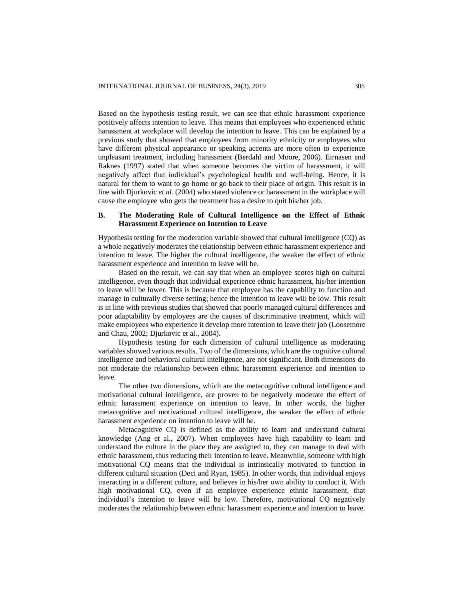Based on the hypothesis testing result, we can see that ethnic harassment experience positively affects intention to leave. This means that employees who experienced ethnic harassment at workplace will develop the intention to leave. This can be explained by a previous study that showed that employees from minority ethnicity or employees who have different physical appearance or speaking accents are more often to experience unpleasant treatment, including harassment (Berdahl and Moore, 2006). Eirnasen and Raknes (1997) stated that when someone becomes the victim of harassment, it will negatively affect that individual's psychological health and well-being. Hence, it is natural for them to want to go home or go back to their place of origin. This result is in line with Djurkovic *et al.* (2004) who stated violence or harassment in the workplace will cause the employee who gets the treatment has a desire to quit his/her job.

## **B. The Moderating Role of Cultural Intelligence on the Effect of Ethnic Harassment Experience on Intention to Leave**

Hypothesis testing for the moderation variable showed that cultural intelligence (CQ) as a whole negatively moderates the relationship between ethnic harassment experience and intention to leave. The higher the cultural intelligence, the weaker the effect of ethnic harassment experience and intention to leave will be.

Based on the result, we can say that when an employee scores high on cultural intelligence, even though that individual experience ethnic harassment, his/her intention to leave will be lower. This is because that employee has the capability to function and manage in culturally diverse setting; hence the intention to leave will be low. This result is in line with previous studies that showed that poorly managed cultural differences and poor adaptability by employees are the causes of discriminative treatment, which will make employees who experience it develop more intention to leave their job (Loosemore and Chau, 2002; Djurkovic et al., 2004).

Hypothesis testing for each dimension of cultural intelligence as moderating variables showed various results. Two of the dimensions, which are the cognitive cultural intelligence and behavioral cultural intelligence, are not significant. Both dimensions do not moderate the relationship between ethnic harassment experience and intention to leave.

The other two dimensions, which are the metacognitive cultural intelligence and motivational cultural intelligence, are proven to be negatively moderate the effect of ethnic harassment experience on intention to leave. In other words, the higher metacognitive and motivational cultural intelligence, the weaker the effect of ethnic harassment experience on intention to leave will be.

Metacognitive CQ is defined as the ability to learn and understand cultural knowledge (Ang et al., 2007). When employees have high capability to learn and understand the culture in the place they are assigned to, they can manage to deal with ethnic harassment, thus reducing their intention to leave. Meanwhile, someone with high motivational CQ means that the individual is intrinsically motivated to function in different cultural situation (Deci and Ryan, 1985). In other words, that individual enjoys interacting in a different culture, and believes in his/her own ability to conduct it. With high motivational CQ, even if an employee experience ethnic harassment, that individual's intention to leave will be low. Therefore, motivational CQ negatively moderates the relationship between ethnic harassment experience and intention to leave.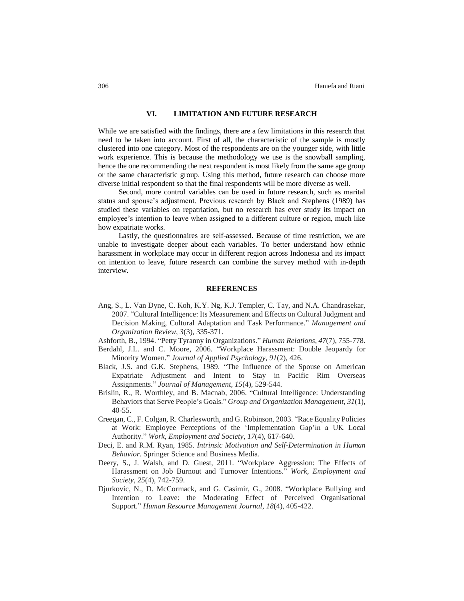# **VI. LIMITATION AND FUTURE RESEARCH**

While we are satisfied with the findings, there are a few limitations in this research that need to be taken into account. First of all, the characteristic of the sample is mostly clustered into one category. Most of the respondents are on the younger side, with little work experience. This is because the methodology we use is the snowball sampling, hence the one recommending the next respondent is most likely from the same age group or the same characteristic group. Using this method, future research can choose more diverse initial respondent so that the final respondents will be more diverse as well.

Second, more control variables can be used in future research, such as marital status and spouse's adjustment. Previous research by Black and Stephens (1989) has studied these variables on repatriation, but no research has ever study its impact on employee's intention to leave when assigned to a different culture or region, much like how expatriate works.

Lastly, the questionnaires are self-assessed. Because of time restriction, we are unable to investigate deeper about each variables. To better understand how ethnic harassment in workplace may occur in different region across Indonesia and its impact on intention to leave, future research can combine the survey method with in-depth interview.

#### **REFERENCES**

Ang, S., L. Van Dyne, C. Koh, K.Y. Ng, K.J. Templer, C. Tay, and N.A. Chandrasekar, 2007. "Cultural Intelligence: Its Measurement and Effects on Cultural Judgment and Decision Making, Cultural Adaptation and Task Performance." *Management and Organization Review*, *3*(3), 335-371.

Ashforth, B., 1994. "Petty Tyranny in Organizations." *Human Relations*, *47*(7), 755-778.

- Berdahl, J.L. and C. Moore, 2006. "Workplace Harassment: Double Jeopardy for Minority Women." *Journal of Applied Psychology*, *91*(2), 426.
- Black, J.S. and G.K. Stephens, 1989. "The Influence of the Spouse on American Expatriate Adjustment and Intent to Stay in Pacific Rim Overseas Assignments." *Journal of Management*, *15*(4), 529-544.
- Brislin, R., R. Worthley, and B. Macnab, 2006. "Cultural Intelligence: Understanding Behaviors that Serve People's Goals." *Group and Organization Management*, *31*(1), 40-55.
- Creegan, C., F. Colgan, R. Charlesworth, and G. Robinson, 2003. "Race Equality Policies at Work: Employee Perceptions of the 'Implementation Gap'in a UK Local Authority." *Work, Employment and Society*, *17*(4), 617-640.
- Deci, E. and R.M. Ryan, 1985. *Intrinsic Motivation and Self-Determination in Human Behavior*. Springer Science and Business Media.
- Deery, S., J. Walsh, and D. Guest, 2011. "Workplace Aggression: The Effects of Harassment on Job Burnout and Turnover Intentions." *Work, Employment and Society*, *25*(4), 742-759.
- Djurkovic, N., D. McCormack, and G. Casimir, G., 2008. "Workplace Bullying and Intention to Leave: the Moderating Effect of Perceived Organisational Support." *Human Resource Management Journal*, *18*(4), 405-422.